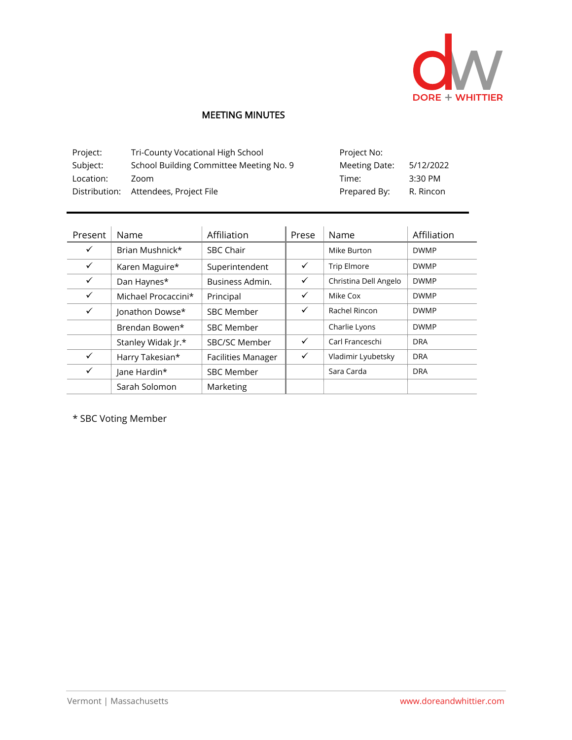

## MEETING MINUTES

| Project:  | Tri-County Vocational High School       | Project No:   |           |
|-----------|-----------------------------------------|---------------|-----------|
| Subject:  | School Building Committee Meeting No. 9 | Meeting Date: | 5/12/2022 |
| Location: | Zoom                                    | Time:         | 3:30 PM   |
|           | Distribution: Attendees, Project File   | Prepared By:  | R. Rincon |

| Present      | Name                | Affiliation               | Prese        | Name                  | Affiliation |
|--------------|---------------------|---------------------------|--------------|-----------------------|-------------|
| $\checkmark$ | Brian Mushnick*     | <b>SBC Chair</b>          |              | Mike Burton           | <b>DWMP</b> |
| $\checkmark$ | Karen Maguire*      | Superintendent            | $\checkmark$ | <b>Trip Elmore</b>    | <b>DWMP</b> |
| $\checkmark$ | Dan Haynes*         | Business Admin.           | $\checkmark$ | Christina Dell Angelo | <b>DWMP</b> |
| $\checkmark$ | Michael Procaccini* | Principal                 | ✓            | Mike Cox              | <b>DWMP</b> |
| ✓            | Jonathon Dowse*     | <b>SBC Member</b>         | ✓            | Rachel Rincon         | <b>DWMP</b> |
|              | Brendan Bowen*      | <b>SBC Member</b>         |              | Charlie Lyons         | <b>DWMP</b> |
|              | Stanley Widak Jr.*  | SBC/SC Member             | $\checkmark$ | Carl Franceschi       | <b>DRA</b>  |
| $\checkmark$ | Harry Takesian*     | <b>Facilities Manager</b> | ✓            | Vladimir Lyubetsky    | <b>DRA</b>  |
| ✓            | Jane Hardin*        | <b>SBC Member</b>         |              | Sara Carda            | <b>DRA</b>  |
|              | Sarah Solomon       | Marketing                 |              |                       |             |

\* SBC Voting Member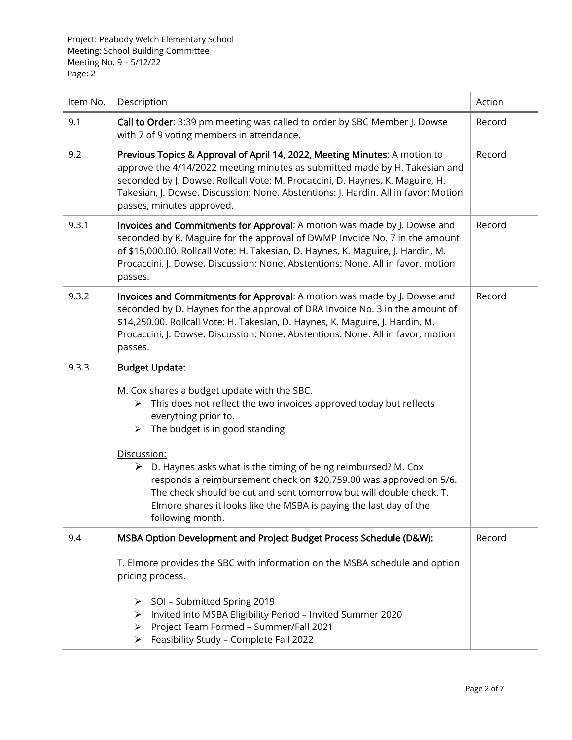Project: Peabody Welch Elementary School Meeting: School Building Committee Meeting No. 9 – 5/12/22 Page: 2

| Item No. | Description                                                                                                                                                                                                                                                                                                                                                  | Action |
|----------|--------------------------------------------------------------------------------------------------------------------------------------------------------------------------------------------------------------------------------------------------------------------------------------------------------------------------------------------------------------|--------|
| 9.1      | Call to Order: 3:39 pm meeting was called to order by SBC Member J. Dowse<br>with 7 of 9 voting members in attendance.                                                                                                                                                                                                                                       | Record |
| 9.2      | Previous Topics & Approval of April 14, 2022, Meeting Minutes: A motion to<br>approve the 4/14/2022 meeting minutes as submitted made by H. Takesian and<br>seconded by J. Dowse. Rollcall Vote: M. Procaccini, D. Haynes, K. Maguire, H.<br>Takesian, J. Dowse. Discussion: None. Abstentions: J. Hardin. All in favor: Motion<br>passes, minutes approved. | Record |
| 9.3.1    | Invoices and Commitments for Approval: A motion was made by J. Dowse and<br>seconded by K. Maguire for the approval of DWMP Invoice No. 7 in the amount<br>of \$15,000.00. Rollcall Vote: H. Takesian, D. Haynes, K. Maguire, J. Hardin, M.<br>Procaccini, J. Dowse. Discussion: None. Abstentions: None. All in favor, motion<br>passes.                    | Record |
| 9.3.2    | Invoices and Commitments for Approval: A motion was made by J. Dowse and<br>seconded by D. Haynes for the approval of DRA Invoice No. 3 in the amount of<br>\$14,250.00. Rollcall Vote: H. Takesian, D. Haynes, K. Maguire, J. Hardin, M.<br>Procaccini, J. Dowse. Discussion: None. Abstentions: None. All in favor, motion<br>passes.                      | Record |
| 9.3.3    | <b>Budget Update:</b>                                                                                                                                                                                                                                                                                                                                        |        |
|          | M. Cox shares a budget update with the SBC.<br>This does not reflect the two invoices approved today but reflects<br>≻<br>everything prior to.<br>$\triangleright$ The budget is in good standing.                                                                                                                                                           |        |
|          | Discussion:<br>$\triangleright$ D. Haynes asks what is the timing of being reimbursed? M. Cox<br>responds a reimbursement check on \$20,759.00 was approved on 5/6.<br>The check should be cut and sent tomorrow but will double check. T.<br>Elmore shares it looks like the MSBA is paying the last day of the<br>following month.                         |        |
| 9.4      | MSBA Option Development and Project Budget Process Schedule (D&W):                                                                                                                                                                                                                                                                                           | Record |
|          | T. Elmore provides the SBC with information on the MSBA schedule and option<br>pricing process.                                                                                                                                                                                                                                                              |        |
|          | > SOI - Submitted Spring 2019<br>Invited into MSBA Eligibility Period - Invited Summer 2020<br>≻<br>Project Team Formed - Summer/Fall 2021<br>➤<br>Feasibility Study - Complete Fall 2022<br>≻                                                                                                                                                               |        |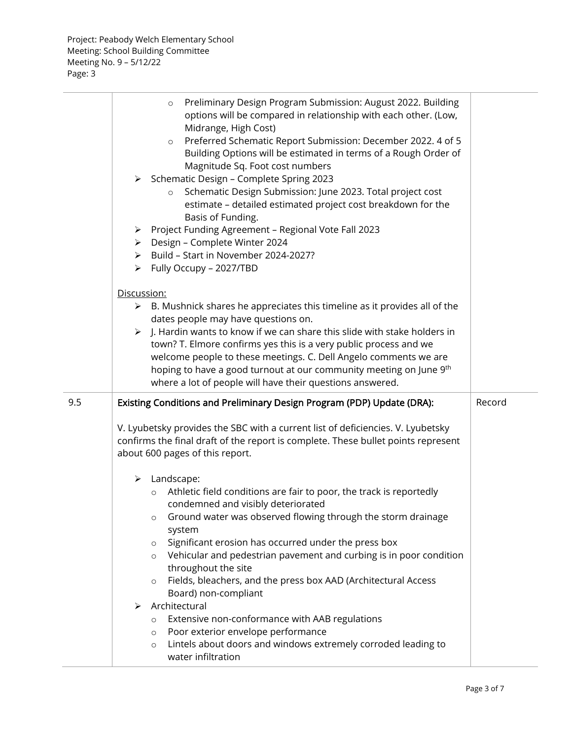|     | Preliminary Design Program Submission: August 2022. Building<br>$\circ$<br>options will be compared in relationship with each other. (Low,<br>Midrange, High Cost)<br>Preferred Schematic Report Submission: December 2022. 4 of 5<br>$\circ$<br>Building Options will be estimated in terms of a Rough Order of<br>Magnitude Sq. Foot cost numbers<br>> Schematic Design - Complete Spring 2023<br>Schematic Design Submission: June 2023. Total project cost<br>$\circ$<br>estimate - detailed estimated project cost breakdown for the<br>Basis of Funding.<br>> Project Funding Agreement - Regional Vote Fall 2023<br>> Design - Complete Winter 2024<br>> Build - Start in November 2024-2027?<br>> Fully Occupy - 2027/TBD<br>Discussion:<br>$\triangleright$ B. Mushnick shares he appreciates this timeline as it provides all of the<br>dates people may have questions on.<br>> J. Hardin wants to know if we can share this slide with stake holders in<br>town? T. Elmore confirms yes this is a very public process and we<br>welcome people to these meetings. C. Dell Angelo comments we are<br>hoping to have a good turnout at our community meeting on June 9th<br>where a lot of people will have their questions answered. |        |
|-----|-------------------------------------------------------------------------------------------------------------------------------------------------------------------------------------------------------------------------------------------------------------------------------------------------------------------------------------------------------------------------------------------------------------------------------------------------------------------------------------------------------------------------------------------------------------------------------------------------------------------------------------------------------------------------------------------------------------------------------------------------------------------------------------------------------------------------------------------------------------------------------------------------------------------------------------------------------------------------------------------------------------------------------------------------------------------------------------------------------------------------------------------------------------------------------------------------------------------------------------------------|--------|
| 9.5 | Existing Conditions and Preliminary Design Program (PDP) Update (DRA):<br>V. Lyubetsky provides the SBC with a current list of deficiencies. V. Lyubetsky<br>confirms the final draft of the report is complete. These bullet points represent<br>about 600 pages of this report.<br>Landscape:<br>➤<br>Athletic field conditions are fair to poor, the track is reportedly<br>$\circ$<br>condemned and visibly deteriorated<br>Ground water was observed flowing through the storm drainage<br>$\circ$<br>system<br>Significant erosion has occurred under the press box<br>$\circ$<br>Vehicular and pedestrian pavement and curbing is in poor condition<br>$\circ$<br>throughout the site<br>Fields, bleachers, and the press box AAD (Architectural Access<br>$\circ$<br>Board) non-compliant<br>Architectural<br>➤<br>Extensive non-conformance with AAB regulations<br>$\circ$<br>Poor exterior envelope performance<br>$\circ$<br>Lintels about doors and windows extremely corroded leading to<br>$\circ$<br>water infiltration                                                                                                                                                                                                         | Record |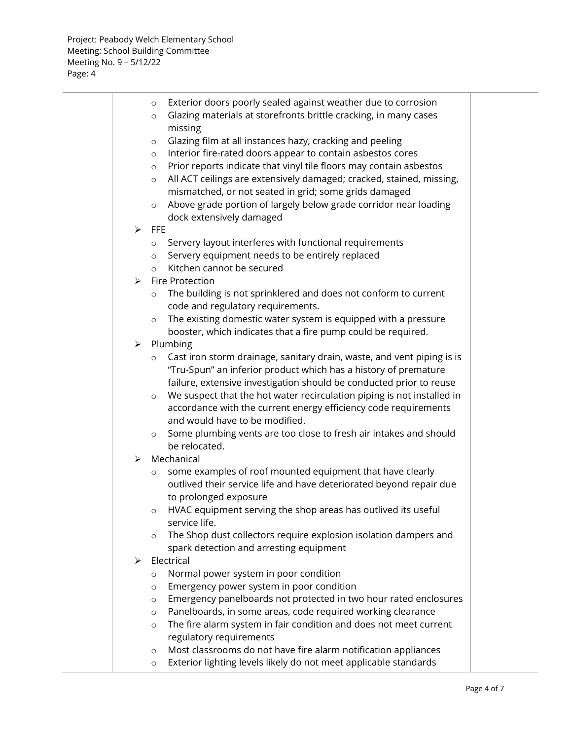|   | $\circ$            | Exterior doors poorly sealed against weather due to corrosion                                     |  |
|---|--------------------|---------------------------------------------------------------------------------------------------|--|
|   | $\circ$<br>missing | Glazing materials at storefronts brittle cracking, in many cases                                  |  |
|   | $\circ$            | Glazing film at all instances hazy, cracking and peeling                                          |  |
|   | $\circ$            | Interior fire-rated doors appear to contain asbestos cores                                        |  |
|   | $\circ$            | Prior reports indicate that vinyl tile floors may contain asbestos                                |  |
|   | $\circ$            | All ACT ceilings are extensively damaged; cracked, stained, missing,                              |  |
|   |                    | mismatched, or not seated in grid; some grids damaged                                             |  |
|   | $\circ$            | Above grade portion of largely below grade corridor near loading                                  |  |
|   |                    | dock extensively damaged                                                                          |  |
| ➤ | <b>FFE</b>         |                                                                                                   |  |
|   | $\circ$            | Servery layout interferes with functional requirements                                            |  |
|   | $\circ$            | Servery equipment needs to be entirely replaced                                                   |  |
|   | $\circ$            | Kitchen cannot be secured                                                                         |  |
| ➤ | Fire Protection    |                                                                                                   |  |
|   | $\circ$            | The building is not sprinklered and does not conform to current                                   |  |
|   |                    | code and regulatory requirements.                                                                 |  |
|   | $\circ$            | The existing domestic water system is equipped with a pressure                                    |  |
|   |                    | booster, which indicates that a fire pump could be required.                                      |  |
| ➤ | Plumbing           |                                                                                                   |  |
|   | $\circ$            | Cast iron storm drainage, sanitary drain, waste, and vent piping is is                            |  |
|   |                    | "Tru-Spun" an inferior product which has a history of premature                                   |  |
|   |                    | failure, extensive investigation should be conducted prior to reuse                               |  |
|   | $\circ$            | We suspect that the hot water recirculation piping is not installed in                            |  |
|   |                    | accordance with the current energy efficiency code requirements<br>and would have to be modified. |  |
|   |                    | Some plumbing vents are too close to fresh air intakes and should                                 |  |
|   | $\circ$            | be relocated.                                                                                     |  |
| ⋗ | Mechanical         |                                                                                                   |  |
|   | $\circ$            | some examples of roof mounted equipment that have clearly                                         |  |
|   |                    | outlived their service life and have deteriorated beyond repair due                               |  |
|   |                    | to prolonged exposure                                                                             |  |
|   | O                  | HVAC equipment serving the shop areas has outlived its useful                                     |  |
|   | service life.      |                                                                                                   |  |
|   | $\circ$            | The Shop dust collectors require explosion isolation dampers and                                  |  |
|   |                    | spark detection and arresting equipment                                                           |  |
| ⋗ | Electrical         |                                                                                                   |  |
|   | $\circ$            | Normal power system in poor condition                                                             |  |
|   | $\circ$            | Emergency power system in poor condition                                                          |  |
|   | $\circ$            | Emergency panelboards not protected in two hour rated enclosures                                  |  |
|   | $\circ$            | Panelboards, in some areas, code required working clearance                                       |  |
|   | $\circ$            | The fire alarm system in fair condition and does not meet current                                 |  |
|   |                    | regulatory requirements                                                                           |  |
|   | $\circ$            | Most classrooms do not have fire alarm notification appliances                                    |  |

o Exterior lighting levels likely do not meet applicable standards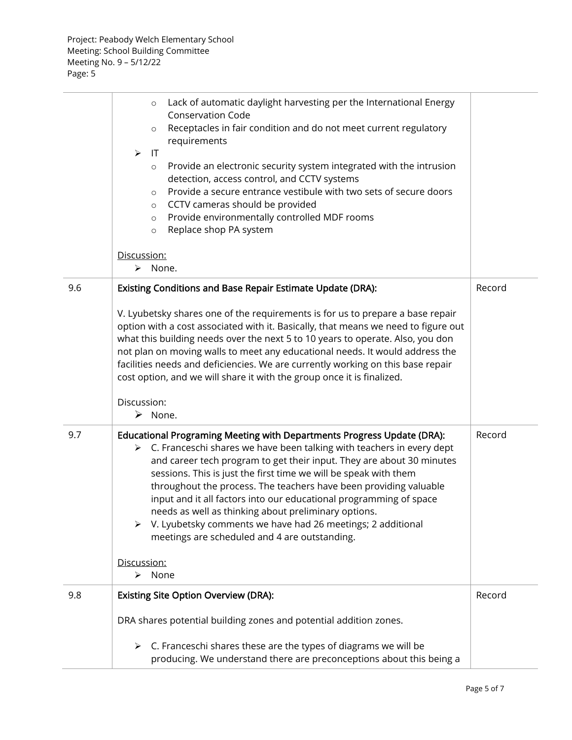|     | Lack of automatic daylight harvesting per the International Energy<br>$\circ$<br><b>Conservation Code</b><br>Receptacles in fair condition and do not meet current regulatory<br>$\circ$<br>requirements<br>$\mathsf{I}$<br>$\blacktriangleright$<br>Provide an electronic security system integrated with the intrusion<br>$\circ$<br>detection, access control, and CCTV systems<br>Provide a secure entrance vestibule with two sets of secure doors<br>$\circ$<br>CCTV cameras should be provided<br>$\circ$<br>Provide environmentally controlled MDF rooms<br>$\circ$<br>Replace shop PA system<br>$\circ$<br>Discussion:    |        |
|-----|------------------------------------------------------------------------------------------------------------------------------------------------------------------------------------------------------------------------------------------------------------------------------------------------------------------------------------------------------------------------------------------------------------------------------------------------------------------------------------------------------------------------------------------------------------------------------------------------------------------------------------|--------|
|     | > None.                                                                                                                                                                                                                                                                                                                                                                                                                                                                                                                                                                                                                            |        |
| 9.6 | Existing Conditions and Base Repair Estimate Update (DRA):                                                                                                                                                                                                                                                                                                                                                                                                                                                                                                                                                                         | Record |
|     | V. Lyubetsky shares one of the requirements is for us to prepare a base repair<br>option with a cost associated with it. Basically, that means we need to figure out<br>what this building needs over the next 5 to 10 years to operate. Also, you don<br>not plan on moving walls to meet any educational needs. It would address the<br>facilities needs and deficiencies. We are currently working on this base repair<br>cost option, and we will share it with the group once it is finalized.                                                                                                                                |        |
|     | Discussion:<br>$\triangleright$ None.                                                                                                                                                                                                                                                                                                                                                                                                                                                                                                                                                                                              |        |
| 9.7 | Educational Programing Meeting with Departments Progress Update (DRA):<br>$\triangleright$ C. Franceschi shares we have been talking with teachers in every dept<br>and career tech program to get their input. They are about 30 minutes<br>sessions. This is just the first time we will be speak with them<br>throughout the process. The teachers have been providing valuable<br>input and it all factors into our educational programming of space<br>needs as well as thinking about preliminary options.<br>▶ V. Lyubetsky comments we have had 26 meetings; 2 additional<br>meetings are scheduled and 4 are outstanding. | Record |
|     | Discussion:<br>None<br>≻                                                                                                                                                                                                                                                                                                                                                                                                                                                                                                                                                                                                           |        |
| 9.8 | <b>Existing Site Option Overview (DRA):</b>                                                                                                                                                                                                                                                                                                                                                                                                                                                                                                                                                                                        | Record |
|     | DRA shares potential building zones and potential addition zones.                                                                                                                                                                                                                                                                                                                                                                                                                                                                                                                                                                  |        |
|     | C. Franceschi shares these are the types of diagrams we will be<br>➤<br>producing. We understand there are preconceptions about this being a                                                                                                                                                                                                                                                                                                                                                                                                                                                                                       |        |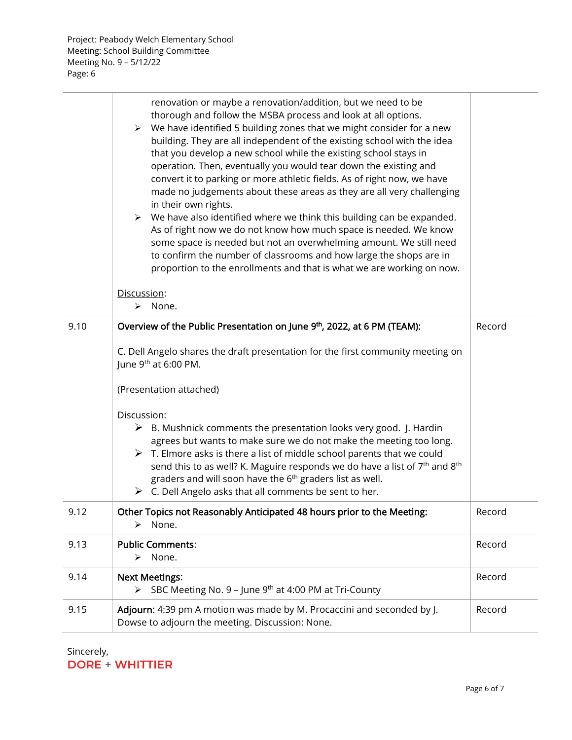Project: Peabody Welch Elementary School Meeting: School Building Committee Meeting No. 9 – 5/12/22 Page: 6

|      | renovation or maybe a renovation/addition, but we need to be<br>thorough and follow the MSBA process and look at all options.<br>$\triangleright$ We have identified 5 building zones that we might consider for a new<br>building. They are all independent of the existing school with the idea<br>that you develop a new school while the existing school stays in<br>operation. Then, eventually you would tear down the existing and<br>convert it to parking or more athletic fields. As of right now, we have<br>made no judgements about these areas as they are all very challenging<br>in their own rights.<br>$\triangleright$ We have also identified where we think this building can be expanded.<br>As of right now we do not know how much space is needed. We know<br>some space is needed but not an overwhelming amount. We still need<br>to confirm the number of classrooms and how large the shops are in<br>proportion to the enrollments and that is what we are working on now. |        |
|------|----------------------------------------------------------------------------------------------------------------------------------------------------------------------------------------------------------------------------------------------------------------------------------------------------------------------------------------------------------------------------------------------------------------------------------------------------------------------------------------------------------------------------------------------------------------------------------------------------------------------------------------------------------------------------------------------------------------------------------------------------------------------------------------------------------------------------------------------------------------------------------------------------------------------------------------------------------------------------------------------------------|--------|
|      | Discussion:<br>> None.                                                                                                                                                                                                                                                                                                                                                                                                                                                                                                                                                                                                                                                                                                                                                                                                                                                                                                                                                                                   |        |
| 9.10 | Overview of the Public Presentation on June 9th, 2022, at 6 PM (TEAM):                                                                                                                                                                                                                                                                                                                                                                                                                                                                                                                                                                                                                                                                                                                                                                                                                                                                                                                                   | Record |
|      | C. Dell Angelo shares the draft presentation for the first community meeting on<br>June 9 <sup>th</sup> at 6:00 PM.<br>(Presentation attached)                                                                                                                                                                                                                                                                                                                                                                                                                                                                                                                                                                                                                                                                                                                                                                                                                                                           |        |
|      | Discussion:<br>$\triangleright$ B. Mushnick comments the presentation looks very good. J. Hardin<br>agrees but wants to make sure we do not make the meeting too long.<br>$\triangleright$ T. Elmore asks is there a list of middle school parents that we could<br>send this to as well? K. Maguire responds we do have a list of 7 <sup>th</sup> and 8 <sup>th</sup><br>graders and will soon have the 6 <sup>th</sup> graders list as well.<br>$\triangleright$ C. Dell Angelo asks that all comments be sent to her.                                                                                                                                                                                                                                                                                                                                                                                                                                                                                 |        |
| 9.12 | Other Topics not Reasonably Anticipated 48 hours prior to the Meeting:<br>$\triangleright$ None.                                                                                                                                                                                                                                                                                                                                                                                                                                                                                                                                                                                                                                                                                                                                                                                                                                                                                                         | Record |
| 9.13 | <b>Public Comments:</b><br>None.<br>≻                                                                                                                                                                                                                                                                                                                                                                                                                                                                                                                                                                                                                                                                                                                                                                                                                                                                                                                                                                    | Record |
| 9.14 | <b>Next Meetings:</b><br>SBC Meeting No. 9 - June 9th at 4:00 PM at Tri-County<br>$\blacktriangleright$                                                                                                                                                                                                                                                                                                                                                                                                                                                                                                                                                                                                                                                                                                                                                                                                                                                                                                  | Record |
| 9.15 | Adjourn: 4:39 pm A motion was made by M. Procaccini and seconded by J.<br>Dowse to adjourn the meeting. Discussion: None.                                                                                                                                                                                                                                                                                                                                                                                                                                                                                                                                                                                                                                                                                                                                                                                                                                                                                | Record |